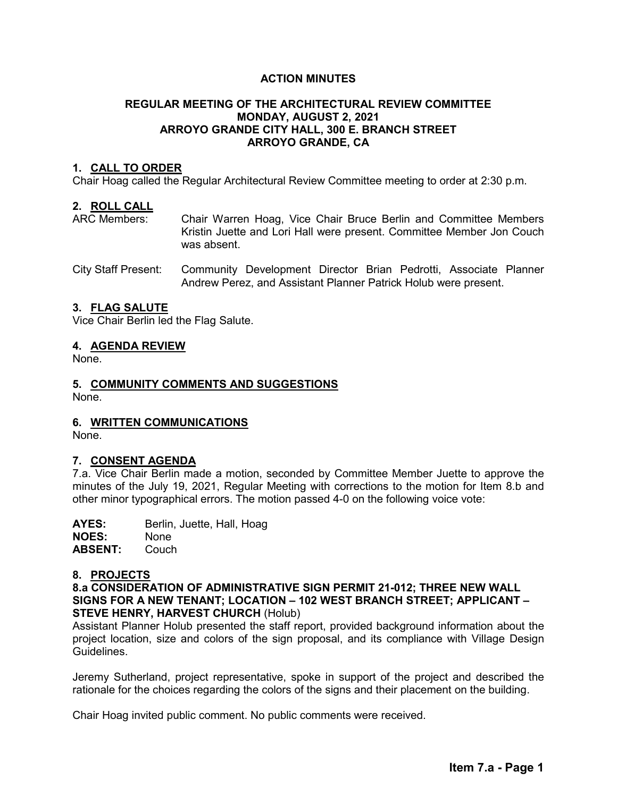# **ACTION MINUTES**

# **REGULAR MEETING OF THE ARCHITECTURAL REVIEW COMMITTEE MONDAY, AUGUST 2, 2021 ARROYO GRANDE CITY HALL, 300 E. BRANCH STREET ARROYO GRANDE, CA**

# **1. CALL TO ORDER**

Chair Hoag called the Regular Architectural Review Committee meeting to order at 2:30 p.m.

### **2. ROLL CALL**

ARC Members: Chair Warren Hoag, Vice Chair Bruce Berlin and Committee Members Kristin Juette and Lori Hall were present. Committee Member Jon Couch was absent.

City Staff Present: Community Development Director Brian Pedrotti, Associate Planner Andrew Perez, and Assistant Planner Patrick Holub were present.

### **3. FLAG SALUTE**

Vice Chair Berlin led the Flag Salute.

### **4. AGENDA REVIEW**

None.

# **5. COMMUNITY COMMENTS AND SUGGESTIONS**

None.

# **6. WRITTEN COMMUNICATIONS**

None.

#### **7. CONSENT AGENDA**

7.a. Vice Chair Berlin made a motion, seconded by Committee Member Juette to approve the minutes of the July 19, 2021, Regular Meeting with corrections to the motion for Item 8.b and other minor typographical errors. The motion passed 4-0 on the following voice vote:

**AYES:** Berlin, Juette, Hall, Hoag **NOES:** None<br> **ABSENT:** Couch **ABSENT:** 

#### **8. PROJECTS**

**8.a CONSIDERATION OF ADMINISTRATIVE SIGN PERMIT 21-012; THREE NEW WALL SIGNS FOR A NEW TENANT; LOCATION – 102 WEST BRANCH STREET; APPLICANT – STEVE HENRY, HARVEST CHURCH** (Holub)

Assistant Planner Holub presented the staff report, provided background information about the project location, size and colors of the sign proposal, and its compliance with Village Design Guidelines.

Jeremy Sutherland, project representative, spoke in support of the project and described the rationale for the choices regarding the colors of the signs and their placement on the building.

Chair Hoag invited public comment. No public comments were received.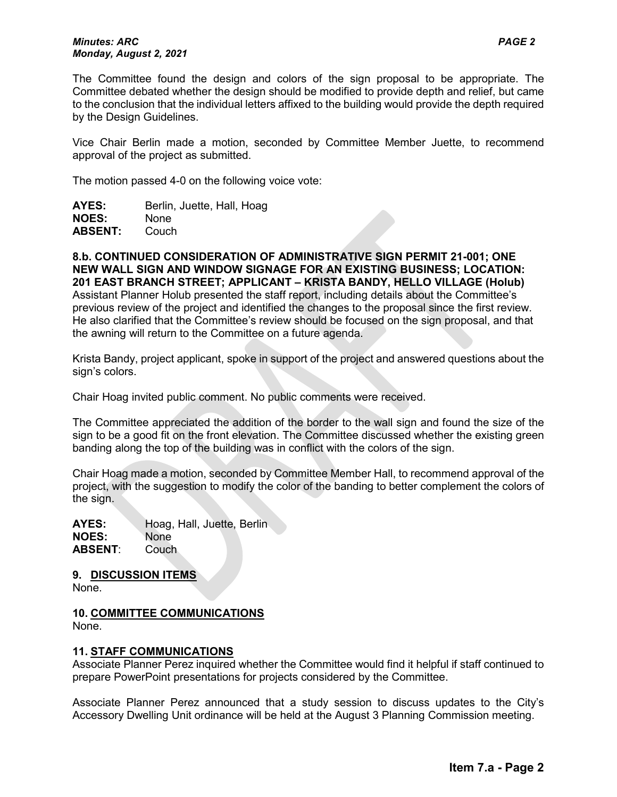### *Minutes: ARC PAGE 2 Monday, August 2, 2021*

The Committee found the design and colors of the sign proposal to be appropriate. The Committee debated whether the design should be modified to provide depth and relief, but came to the conclusion that the individual letters affixed to the building would provide the depth required by the Design Guidelines.

Vice Chair Berlin made a motion, seconded by Committee Member Juette, to recommend approval of the project as submitted.

The motion passed 4-0 on the following voice vote:

| AYES:          | Berlin, Juette, Hall, Hoag |
|----------------|----------------------------|
| <b>NOES:</b>   | <b>None</b>                |
| <b>ABSENT:</b> | Couch                      |

**8.b. CONTINUED CONSIDERATION OF ADMINISTRATIVE SIGN PERMIT 21-001; ONE NEW WALL SIGN AND WINDOW SIGNAGE FOR AN EXISTING BUSINESS; LOCATION: 201 EAST BRANCH STREET; APPLICANT – KRISTA BANDY, HELLO VILLAGE (Holub)** Assistant Planner Holub presented the staff report, including details about the Committee's previous review of the project and identified the changes to the proposal since the first review. He also clarified that the Committee's review should be focused on the sign proposal, and that the awning will return to the Committee on a future agenda.

Krista Bandy, project applicant, spoke in support of the project and answered questions about the sign's colors.

Chair Hoag invited public comment. No public comments were received.

The Committee appreciated the addition of the border to the wall sign and found the size of the sign to be a good fit on the front elevation. The Committee discussed whether the existing green banding along the top of the building was in conflict with the colors of the sign.

Chair Hoag made a motion, seconded by Committee Member Hall, to recommend approval of the project, with the suggestion to modify the color of the banding to better complement the colors of the sign.

**AYES:** Hoag, Hall, Juette, Berlin **NOES:** None **ABSENT**: Couch

**9. DISCUSSION ITEMS**

None.

# **10. COMMITTEE COMMUNICATIONS**

None.

# **11. STAFF COMMUNICATIONS**

Associate Planner Perez inquired whether the Committee would find it helpful if staff continued to prepare PowerPoint presentations for projects considered by the Committee.

Associate Planner Perez announced that a study session to discuss updates to the City's Accessory Dwelling Unit ordinance will be held at the August 3 Planning Commission meeting.